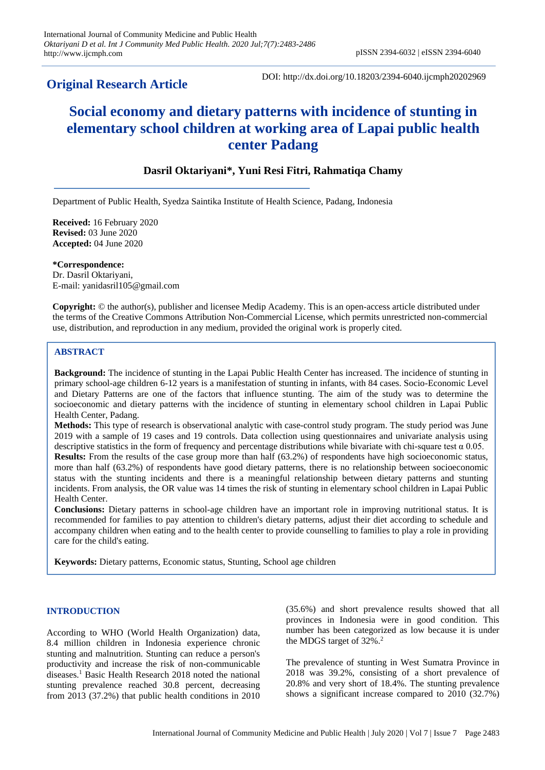# **Original Research Article**

DOI: http://dx.doi.org/10.18203/2394-6040.ijcmph20202969

# **Social economy and dietary patterns with incidence of stunting in elementary school children at working area of Lapai public health center Padang**

# **Dasril Oktariyani\*, Yuni Resi Fitri, Rahmatiqa Chamy**

Department of Public Health, Syedza Saintika Institute of Health Science, Padang, Indonesia

**Received:** 16 February 2020 **Revised:** 03 June 2020 **Accepted:** 04 June 2020

**\*Correspondence:** Dr. Dasril Oktariyani, E-mail: yanidasril105@gmail.com

**Copyright:** © the author(s), publisher and licensee Medip Academy. This is an open-access article distributed under the terms of the Creative Commons Attribution Non-Commercial License, which permits unrestricted non-commercial use, distribution, and reproduction in any medium, provided the original work is properly cited.

# **ABSTRACT**

**Background:** The incidence of stunting in the Lapai Public Health Center has increased. The incidence of stunting in primary school-age children 6-12 years is a manifestation of stunting in infants, with 84 cases. Socio-Economic Level and Dietary Patterns are one of the factors that influence stunting. The aim of the study was to determine the socioeconomic and dietary patterns with the incidence of stunting in elementary school children in Lapai Public Health Center, Padang.

**Methods:** This type of research is observational analytic with case-control study program. The study period was June 2019 with a sample of 19 cases and 19 controls. Data collection using questionnaires and univariate analysis using descriptive statistics in the form of frequency and percentage distributions while bivariate with chi-square test  $\alpha$  0.05. **Results:** From the results of the case group more than half (63.2%) of respondents have high socioeconomic status, more than half (63.2%) of respondents have good dietary patterns, there is no relationship between socioeconomic status with the stunting incidents and there is a meaningful relationship between dietary patterns and stunting incidents. From analysis, the OR value was 14 times the risk of stunting in elementary school children in Lapai Public Health Center.

**Conclusions:** Dietary patterns in school-age children have an important role in improving nutritional status. It is recommended for families to pay attention to children's dietary patterns, adjust their diet according to schedule and accompany children when eating and to the health center to provide counselling to families to play a role in providing care for the child's eating.

**Keywords:** Dietary patterns, Economic status, Stunting, School age children

# **INTRODUCTION**

According to WHO (World Health Organization) data, 8.4 million children in Indonesia experience chronic stunting and malnutrition. Stunting can reduce a person's productivity and increase the risk of non-communicable diseases. <sup>1</sup> Basic Health Research 2018 noted the national stunting prevalence reached 30.8 percent, decreasing from 2013 (37.2%) that public health conditions in 2010

(35.6%) and short prevalence results showed that all provinces in Indonesia were in good condition. This number has been categorized as low because it is under the MDGS target of 32%. 2

The prevalence of stunting in West Sumatra Province in 2018 was 39.2%, consisting of a short prevalence of 20.8% and very short of 18.4%. The stunting prevalence shows a significant increase compared to 2010 (32.7%)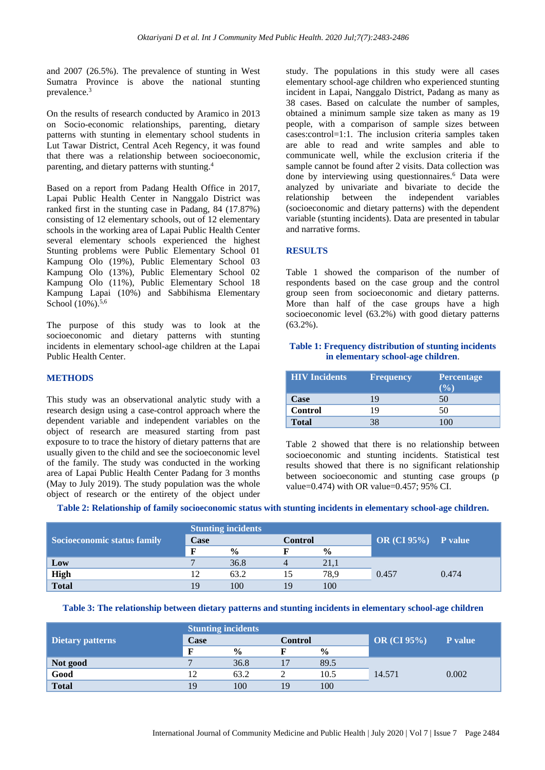and 2007 (26.5%). The prevalence of stunting in West Sumatra Province is above the national stunting prevalence.<sup>3</sup>

On the results of research conducted by Aramico in 2013 on Socio-economic relationships, parenting, dietary patterns with stunting in elementary school students in Lut Tawar District, Central Aceh Regency, it was found that there was a relationship between socioeconomic, parenting, and dietary patterns with stunting.<sup>4</sup>

Based on a report from Padang Health Office in 2017, Lapai Public Health Center in Nanggalo District was ranked first in the stunting case in Padang, 84 (17.87%) consisting of 12 elementary schools, out of 12 elementary schools in the working area of Lapai Public Health Center several elementary schools experienced the highest Stunting problems were Public Elementary School 01 Kampung Olo (19%), Public Elementary School 03 Kampung Olo (13%), Public Elementary School 02 Kampung Olo (11%), Public Elementary School 18 Kampung Lapai (10%) and Sabbihisma Elementary School (10%).<sup>5,6</sup>

The purpose of this study was to look at the socioeconomic and dietary patterns with stunting incidents in elementary school-age children at the Lapai Public Health Center.

#### **METHODS**

This study was an observational analytic study with a research design using a case-control approach where the dependent variable and independent variables on the object of research are measured starting from past exposure to to trace the history of dietary patterns that are usually given to the child and see the socioeconomic level of the family. The study was conducted in the working area of Lapai Public Health Center Padang for 3 months (May to July 2019). The study population was the whole object of research or the entirety of the object under

study. The populations in this study were all cases elementary school-age children who experienced stunting incident in Lapai, Nanggalo District, Padang as many as 38 cases. Based on calculate the number of samples, obtained a minimum sample size taken as many as 19 people, with a comparison of sample sizes between cases:control=1:1. The inclusion criteria samples taken are able to read and write samples and able to communicate well, while the exclusion criteria if the sample cannot be found after 2 visits. Data collection was done by interviewing using questionnaires. <sup>6</sup> Data were analyzed by univariate and bivariate to decide the relationship between the independent variables (socioeconomic and dietary patterns) with the dependent variable (stunting incidents). Data are presented in tabular and narrative forms.

#### **RESULTS**

Table 1 showed the comparison of the number of respondents based on the case group and the control group seen from socioeconomic and dietary patterns. More than half of the case groups have a high socioeconomic level (63.2%) with good dietary patterns (63.2%).

# **Table 1: Frequency distribution of stunting incidents in elementary school-age children**.

| <b>HIV</b> Incidents | <b>Frequency</b> | <b>Percentage</b><br>$($ %) |
|----------------------|------------------|-----------------------------|
| <b>Case</b>          | 19               | 50                          |
| <b>Control</b>       | 19               | 50                          |
| <b>Total</b>         | 38               | $\mathbf{1}(\mathbf{M})$    |

Table 2 showed that there is no relationship between socioeconomic and stunting incidents. Statistical test results showed that there is no significant relationship between socioeconomic and stunting case groups (p value=0.474) with OR value=0.457; 95% CI.

**Table 2: Relationship of family socioeconomic status with stunting incidents in elementary school-age children.**

| Socioeconomic status family | <b>Stunting incidents</b> |               |                |               |                        |       |
|-----------------------------|---------------------------|---------------|----------------|---------------|------------------------|-------|
|                             | Case                      |               | <b>Control</b> |               | $OR (CI 95\%)$ P value |       |
|                             | F                         | $\frac{0}{0}$ |                | $\frac{0}{0}$ |                        |       |
| Low                         |                           | 36.8          |                | 21,1          |                        |       |
| <b>High</b>                 | 12                        | 63.2          |                | 78.9          | 0.457                  | 0.474 |
| <b>Total</b>                | 19                        | 100           | 19             | 100           |                        |       |

**Table 3: The relationship between dietary patterns and stunting incidents in elementary school-age children**

|                         | <b>Stunting incidents</b> |               |                |               |                                      |                |
|-------------------------|---------------------------|---------------|----------------|---------------|--------------------------------------|----------------|
| <b>Dietary patterns</b> | Case                      |               | <b>Control</b> |               | $\overline{\phantom{a}}$ OR (CI 95%) | <b>P</b> value |
|                         | п                         | $\frac{0}{0}$ |                | $\frac{0}{0}$ |                                      |                |
| Not good                |                           | 36.8          |                | 89.5          | 14.571                               | 0.002          |
| Good                    | 12                        | 63.2          |                | 10.5          |                                      |                |
| <b>Total</b>            | 19                        | 100           | 19             | 100           |                                      |                |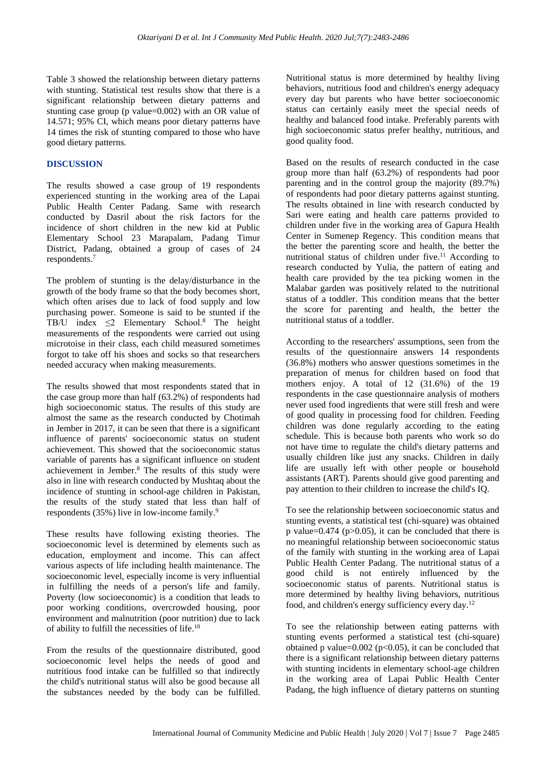Table 3 showed the relationship between dietary patterns with stunting. Statistical test results show that there is a significant relationship between dietary patterns and stunting case group (p value=0.002) with an OR value of 14.571; 95% CI, which means poor dietary patterns have 14 times the risk of stunting compared to those who have good dietary patterns.

#### **DISCUSSION**

The results showed a case group of 19 respondents experienced stunting in the working area of the Lapai Public Health Center Padang. Same with research conducted by Dasril about the risk factors for the incidence of short children in the new kid at Public Elementary School 23 Marapalam, Padang Timur District, Padang, obtained a group of cases of 24 respondents.<sup>7</sup>

The problem of stunting is the delay/disturbance in the growth of the body frame so that the body becomes short, which often arises due to lack of food supply and low purchasing power. Someone is said to be stunted if the TB/U index  $\leq$ 2 Elementary School.<sup>8</sup> The height measurements of the respondents were carried out using microtoise in their class, each child measured sometimes forgot to take off his shoes and socks so that researchers needed accuracy when making measurements.

The results showed that most respondents stated that in the case group more than half  $(63.2\%)$  of respondents had high socioeconomic status. The results of this study are almost the same as the research conducted by Chotimah in Jember in 2017, it can be seen that there is a significant influence of parents' socioeconomic status on student achievement. This showed that the socioeconomic status variable of parents has a significant influence on student achievement in Jember. <sup>8</sup> The results of this study were also in line with research conducted by Mushtaq about the incidence of stunting in school-age children in Pakistan, the results of the study stated that less than half of respondents (35%) live in low-income family.<sup>9</sup>

These results have following existing theories. The socioeconomic level is determined by elements such as education, employment and income. This can affect various aspects of life including health maintenance. The socioeconomic level, especially income is very influential in fulfilling the needs of a person's life and family. Poverty (low socioeconomic) is a condition that leads to poor working conditions, overcrowded housing, poor environment and malnutrition (poor nutrition) due to lack of ability to fulfill the necessities of life.<sup>10</sup>

From the results of the questionnaire distributed, good socioeconomic level helps the needs of good and nutritious food intake can be fulfilled so that indirectly the child's nutritional status will also be good because all the substances needed by the body can be fulfilled.

Nutritional status is more determined by healthy living behaviors, nutritious food and children's energy adequacy every day but parents who have better socioeconomic status can certainly easily meet the special needs of healthy and balanced food intake. Preferably parents with high socioeconomic status prefer healthy, nutritious, and good quality food.

Based on the results of research conducted in the case group more than half (63.2%) of respondents had poor parenting and in the control group the majority (89.7%) of respondents had poor dietary patterns against stunting. The results obtained in line with research conducted by Sari were eating and health care patterns provided to children under five in the working area of Gapura Health Center in Sumenep Regency. This condition means that the better the parenting score and health, the better the nutritional status of children under five. <sup>11</sup> According to research conducted by Yulia, the pattern of eating and health care provided by the tea picking women in the Malabar garden was positively related to the nutritional status of a toddler. This condition means that the better the score for parenting and health, the better the nutritional status of a toddler.

According to the researchers' assumptions, seen from the results of the questionnaire answers 14 respondents (36.8%) mothers who answer questions sometimes in the preparation of menus for children based on food that mothers enjoy. A total of 12 (31.6%) of the 19 respondents in the case questionnaire analysis of mothers never used food ingredients that were still fresh and were of good quality in processing food for children. Feeding children was done regularly according to the eating schedule. This is because both parents who work so do not have time to regulate the child's dietary patterns and usually children like just any snacks. Children in daily life are usually left with other people or household assistants (ART). Parents should give good parenting and pay attention to their children to increase the child's IQ.

To see the relationship between socioeconomic status and stunting events, a statistical test (chi-square) was obtained p value= $0.474$  (p $>0.05$ ), it can be concluded that there is no meaningful relationship between socioeconomic status of the family with stunting in the working area of Lapai Public Health Center Padang. The nutritional status of a good child is not entirely influenced by the socioeconomic status of parents. Nutritional status is more determined by healthy living behaviors, nutritious food, and children's energy sufficiency every day.<sup>12</sup>

To see the relationship between eating patterns with stunting events performed a statistical test (chi-square) obtained p value= $0.002$  (p< $0.05$ ), it can be concluded that there is a significant relationship between dietary patterns with stunting incidents in elementary school-age children in the working area of Lapai Public Health Center Padang, the high influence of dietary patterns on stunting